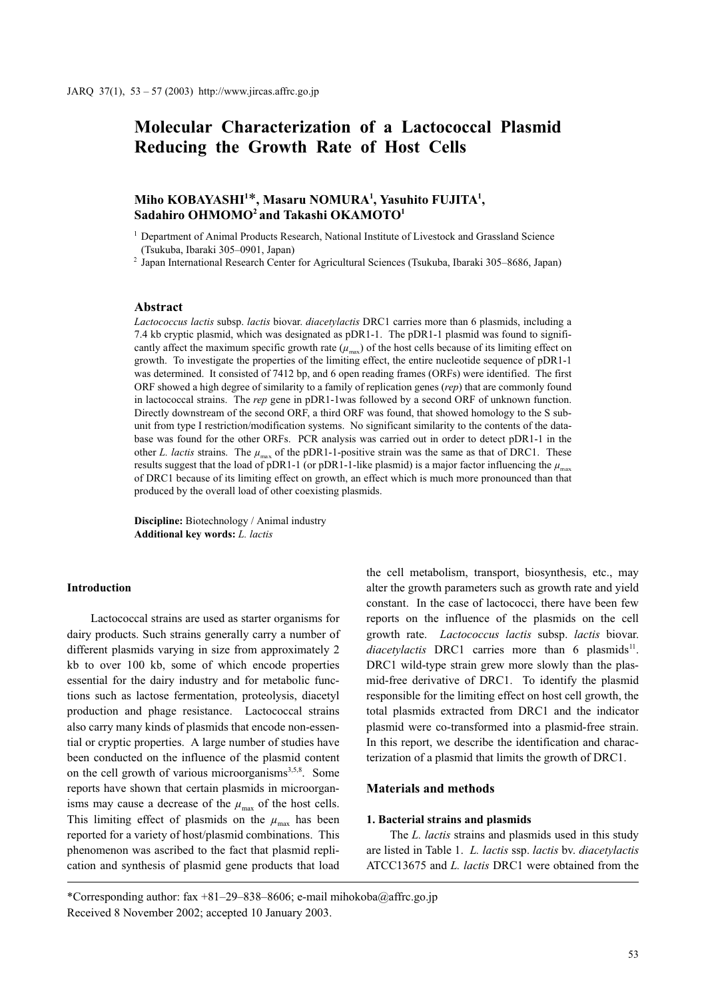# Molecular Characterization of a Lactococcal Plasmid Reducing the Growth Rate of Host Cells

## Miho KOBAYASHI $^{1*}$ , Masaru NOMURA $^{1}$ , Yasuhito FUJITA $^{1}$ , Sadahiro OHMOMO<sup>2</sup> and Takashi OKAMOTO<sup>1</sup>

<sup>1</sup> Department of Animal Products Research, National Institute of Livestock and Grassland Science (Tsukuba, Ibaraki 305–0901, Japan)

<sup>2</sup> Japan International Research Center for Agricultural Sciences (Tsukuba, Ibaraki 305–8686, Japan)

### Abstract

Lactococcus lactis subsp. lactis biovar. diacetylactis DRC1 carries more than 6 plasmids, including a 7.4 kb cryptic plasmid, which was designated as pDR1-1. The pDR1-1 plasmid was found to significantly affect the maximum specific growth rate  $(\mu_{\text{max}})$  of the host cells because of its limiting effect on growth. To investigate the properties of the limiting effect, the entire nucleotide sequence of pDR1-1 was determined. It consisted of 7412 bp, and 6 open reading frames (ORFs) were identified. The first ORF showed a high degree of similarity to a family of replication genes (rep) that are commonly found in lactococcal strains. The rep gene in pDR1-1was followed by a second ORF of unknown function. Directly downstream of the second ORF, a third ORF was found, that showed homology to the S subunit from type I restriction/modification systems. No significant similarity to the contents of the database was found for the other ORFs. PCR analysis was carried out in order to detect pDR1-1 in the other L. lactis strains. The  $\mu_{\text{max}}$  of the pDR1-1-positive strain was the same as that of DRC1. These results suggest that the load of pDR1-1 (or pDR1-1-like plasmid) is a major factor influencing the  $\mu_{\text{max}}$  of DRC1 because of its limiting effect on growth, an effect which is much more pronounced than that produced by the overall load of other coexisting plasmids.

Discipline: Biotechnology / Animal industry Additional key words: L. lactis

### Introduction

Lactococcal strains are used as starter organisms for dairy products. Such strains generally carry a number of different plasmids varying in size from approximately 2 kb to over 100 kb, some of which encode properties essential for the dairy industry and for metabolic functions such as lactose fermentation, proteolysis, diacetyl production and phage resistance. Lactococcal strains also carry many kinds of plasmids that encode non-essential or cryptic properties. A large number of studies have been conducted on the influence of the plasmid content on the cell growth of various microorganisms<sup>3,5,8</sup>. Some reports have shown that certain plasmids in microorganisms may cause a decrease of the  $\mu_{\text{max}}$  of the host cells. This limiting effect of plasmids on the  $\mu_{\text{max}}$  has been reported for a variety of host/plasmid combinations. This phenomenon was ascribed to the fact that plasmid replication and synthesis of plasmid gene products that load the cell metabolism, transport, biosynthesis, etc., may alter the growth parameters such as growth rate and yield constant. In the case of lactococci, there have been few reports on the influence of the plasmids on the cell growth rate. Lactococcus lactis subsp. lactis biovar. diacetylactis DRC1 carries more than  $6$  plasmids<sup>11</sup>. DRC1 wild-type strain grew more slowly than the plasmid-free derivative of DRC1. To identify the plasmid responsible for the limiting effect on host cell growth, the total plasmids extracted from DRC1 and the indicator plasmid were co-transformed into a plasmid-free strain. In this report, we describe the identification and characterization of a plasmid that limits the growth of DRC1.

### Materials and methods

#### 1. Bacterial strains and plasmids

The *L. lactis* strains and plasmids used in this study are listed in Table 1. L. lactis ssp. lactis bv. diacetylactis ATCC13675 and L. lactis DRC1 were obtained from the

<sup>\*</sup>Corresponding author: fax  $+81-29-838-8606$ ; e-mail mihokoba@affrc.go.jp Received 8 November 2002; accepted 10 January 2003.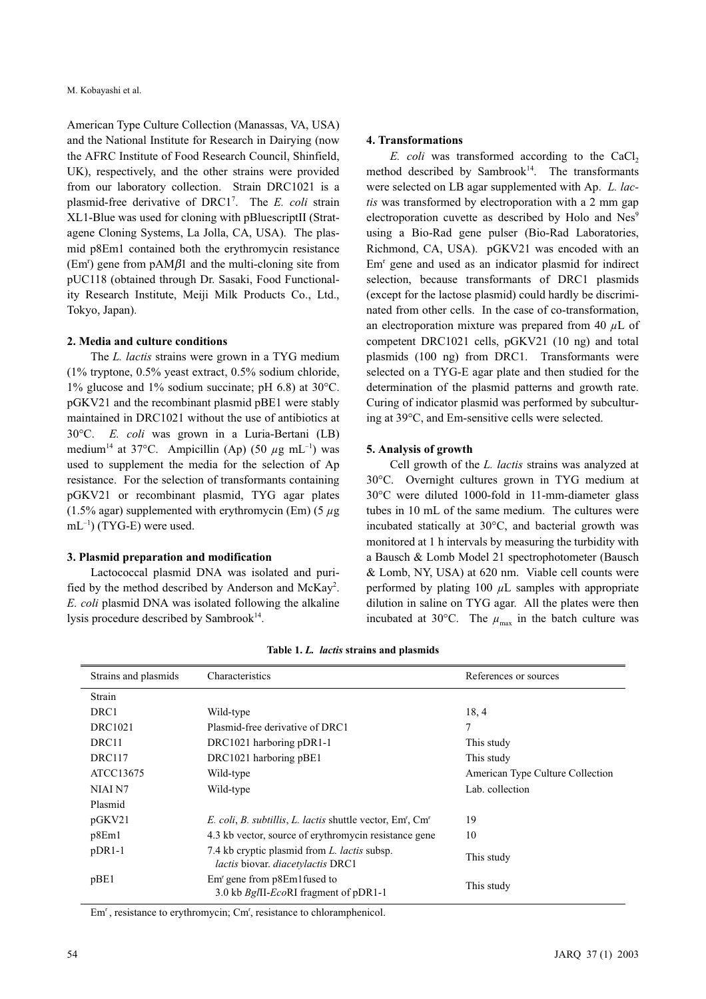American Type Culture Collection (Manassas, VA, USA) and the National Institute for Research in Dairying (now the AFRC Institute of Food Research Council, Shinfield, UK), respectively, and the other strains were provided from our laboratory collection. Strain DRC1021 is a plasmid-free derivative of DRC1<sup>7</sup>. The E. coli strain XL1-Blue was used for cloning with pBluescriptII (Stratagene Cloning Systems, La Jolla, CA, USA). The plasmid p8Em1 contained both the erythromycin resistance  $(Em<sup>r</sup>)$  gene from pAM $\beta$ 1 and the multi-cloning site from pUC118 (obtained through Dr. Sasaki, Food Functionality Research Institute, Meiji Milk Products Co., Ltd., Tokyo, Japan).

#### 2. Media and culture conditions

The L. lactis strains were grown in a TYG medium (1% tryptone, 0.5% yeast extract, 0.5% sodium chloride, 1% glucose and 1% sodium succinate; pH 6.8) at 30°C. pGKV21 and the recombinant plasmid pBE1 were stably maintained in DRC1021 without the use of antibiotics at 30°C. E. coli was grown in a Luria-Bertani (LB) medium<sup>14</sup> at 37°C. Ampicillin (Ap) (50  $\mu$ g mL<sup>-1</sup>) was used to supplement the media for the selection of Ap resistance. For the selection of transformants containing pGKV21 or recombinant plasmid, TYG agar plates (1.5% agar) supplemented with erythromycin (Em) (5  $\mu$ g  $mL^{-1}$ ) (TYG-E) were used.

### 3. Plasmid preparation and modification

Lactococcal plasmid DNA was isolated and purified by the method described by Anderson and McKay<sup>2</sup>. E. coli plasmid DNA was isolated following the alkaline lysis procedure described by Sambrook<sup>14</sup>.

#### 4. Transformations

 $E.$  coli was transformed according to the CaCl, method described by Sambrook<sup>14</sup>. The transformants were selected on LB agar supplemented with Ap. L. lactis was transformed by electroporation with a 2 mm gap electroporation cuvette as described by Holo and Nes<sup>9</sup> using a Bio-Rad gene pulser (Bio-Rad Laboratories, Richmond, CA, USA). pGKV21 was encoded with an Em<sup>r</sup> gene and used as an indicator plasmid for indirect selection, because transformants of DRC1 plasmids (except for the lactose plasmid) could hardly be discriminated from other cells. In the case of co-transformation, an electroporation mixture was prepared from 40  $\mu$ L of competent DRC1021 cells, pGKV21 (10 ng) and total plasmids (100 ng) from DRC1. Transformants were selected on a TYG-E agar plate and then studied for the determination of the plasmid patterns and growth rate. Curing of indicator plasmid was performed by subculturing at 39°C, and Em-sensitive cells were selected.

#### 5. Analysis of growth

Cell growth of the L. lactis strains was analyzed at 30°C. Overnight cultures grown in TYG medium at 30°C were diluted 1000-fold in 11-mm-diameter glass tubes in 10 mL of the same medium. The cultures were incubated statically at 30°C, and bacterial growth was monitored at 1 h intervals by measuring the turbidity with a Bausch & Lomb Model 21 spectrophotometer (Bausch & Lomb, NY, USA) at 620 nm. Viable cell counts were performed by plating 100  $\mu$ L samples with appropriate dilution in saline on TYG agar. All the plates were then incubated at 30°C. The  $\mu_{\text{max}}$  in the batch culture was

| Strains and plasmids | Characteristics<br>References or sources                                                               |                                  |  |
|----------------------|--------------------------------------------------------------------------------------------------------|----------------------------------|--|
| Strain               |                                                                                                        |                                  |  |
| DRC1                 | Wild-type                                                                                              | 18,4                             |  |
| <b>DRC1021</b>       | Plasmid-free derivative of DRC1                                                                        | 7                                |  |
| DRC11                | DRC1021 harboring pDR1-1                                                                               | This study                       |  |
| DRC117               | DRC1021 harboring pBE1                                                                                 | This study                       |  |
| ATCC13675            | Wild-type                                                                                              | American Type Culture Collection |  |
| NIAI N7              | Wild-type                                                                                              | Lab. collection                  |  |
| Plasmid              |                                                                                                        |                                  |  |
| pGKV21               | E. coli, B. subtillis, L. lactis shuttle vector, Em', Cm'                                              | 19                               |  |
| p8Em1                | 4.3 kb vector, source of erythromycin resistance gene                                                  | 10                               |  |
| $pDR1-1$             | 7.4 kb cryptic plasmid from L. <i>lactis</i> subsp.<br><i>lactis</i> biovar. <i>diacetvlactis</i> DRC1 | This study                       |  |
| pBE1                 | $Emr$ gene from $p8Em1$ fused to<br>3.0 kb Bg/II-EcoRI fragment of pDR1-1                              | This study                       |  |

Table 1. L. lactis strains and plasmids

Em , resistance to erythromycin; Cm , resistance to chloramphenicol.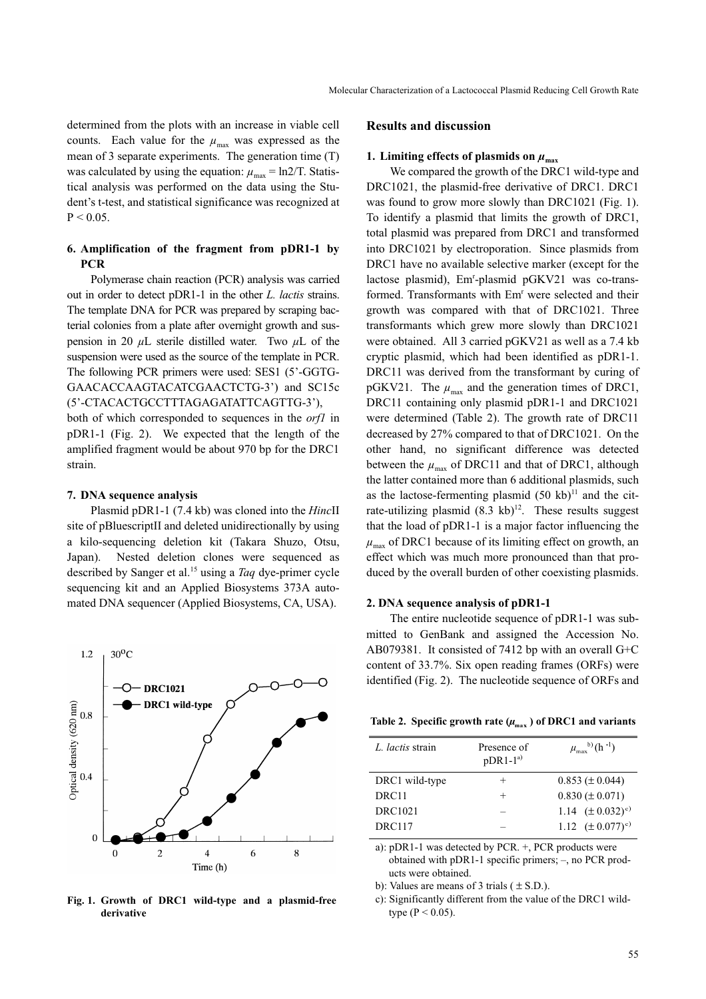determined from the plots with an increase in viable cell counts. Each value for the  $\mu_{\text{max}}$  was expressed as the mean of 3 separate experiments. The generation time (T) was calculated by using the equation:  $\mu_{\text{max}} = \text{ln}2/\text{T}$ . Statistical analysis was performed on the data using the Student's t-test, and statistical significance was recognized at  $P < 0.05$ .

### 6. Amplification of the fragment from pDR1-1 by **PCR**

Polymerase chain reaction (PCR) analysis was carried out in order to detect pDR1-1 in the other L. lactis strains. The template DNA for PCR was prepared by scraping bacterial colonies from a plate after overnight growth and suspension in 20  $\mu$ L sterile distilled water. Two  $\mu$ L of the suspension were used as the source of the template in PCR. The following PCR primers were used: SES1 (5'-GGTG-GAACACCAAGTACATCGAACTCTG-3') and SC15c (5'-CTACACTGCCTTTAGAGATATTCAGTTG-3'),

both of which corresponded to sequences in the orf1 in pDR1-1 (Fig. 2). We expected that the length of the amplified fragment would be about 970 bp for the DRC1 strain.

#### 7. DNA sequence analysis

Plasmid pDR1-1 (7.4 kb) was cloned into the *HincII* site of pBluescriptII and deleted unidirectionally by using a kilo-sequencing deletion kit (Takara Shuzo, Otsu, Japan). Nested deletion clones were sequenced as described by Sanger et al.<sup>15</sup> using a *Taq* dye-primer cycle sequencing kit and an Applied Biosystems 373A automated DNA sequencer (Applied Biosystems, CA, USA).



Fig. 1. Growth of DRC1 wild-type and a plasmid-free derivative

#### Results and discussion

### 1. Limiting effects of plasmids on  $\mu_{\text{max}}$

We compared the growth of the DRC1 wild-type and DRC1021, the plasmid-free derivative of DRC1. DRC1 was found to grow more slowly than DRC1021 (Fig. 1). To identify a plasmid that limits the growth of DRC1, total plasmid was prepared from DRC1 and transformed into DRC1021 by electroporation. Since plasmids from DRC1 have no available selective marker (except for the lactose plasmid), Em<sup>r</sup> -plasmid pGKV21 was co-transformed. Transformants with Em<sup>r</sup> were selected and their growth was compared with that of DRC1021. Three transformants which grew more slowly than DRC1021 were obtained. All 3 carried pGKV21 as well as a 7.4 kb cryptic plasmid, which had been identified as pDR1-1. DRC11 was derived from the transformant by curing of pGKV21. The  $\mu_{\text{max}}$  and the generation times of DRC1, DRC11 containing only plasmid pDR1-1 and DRC1021 were determined (Table 2). The growth rate of DRC11 decreased by 27% compared to that of DRC1021. On the other hand, no significant difference was detected between the  $\mu_{\text{max}}$  of DRC11 and that of DRC1, although the latter contained more than 6 additional plasmids, such as the lactose-fermenting plasmid  $(50 \text{ kb})^{11}$  and the citrate-utilizing plasmid  $(8.3 \text{ kb})^{12}$ . These results suggest that the load of pDR1-1 is a major factor influencing the  $\mu_{\text{max}}$  of DRC1 because of its limiting effect on growth, an effect which was much more pronounced than that produced by the overall burden of other coexisting plasmids.

#### 2. DNA sequence analysis of pDR1-1

The entire nucleotide sequence of pDR1-1 was submitted to GenBank and assigned the Accession No. AB079381. It consisted of 7412 bp with an overall G+C content of 33.7%. Six open reading frames (ORFs) were identified (Fig. 2). The nucleotide sequence of ORFs and

|  |  |  | Table 2. Specific growth rate $(\mu_{max})$ of DRC1 and variants |  |  |  |  |
|--|--|--|------------------------------------------------------------------|--|--|--|--|
|--|--|--|------------------------------------------------------------------|--|--|--|--|

| L. lactis strain  | Presence of<br>$pDR1-1^{a}$ | $\mu_{\text{max}}^{(b)}$ (h <sup>-1</sup> ) |
|-------------------|-----------------------------|---------------------------------------------|
| DRC1 wild-type    |                             | $0.853 \ (\pm 0.044)$                       |
| DRC <sub>11</sub> | $\pm$                       | $0.830 \ (\pm 0.071)$                       |
| <b>DRC1021</b>    |                             | 1.14 $(\pm 0.032)$ <sup>c)</sup>            |
| <b>DRC117</b>     |                             | 1.12 $(\pm 0.077)^{c}$                      |

a): pDR1-1 was detected by PCR. +, PCR products were obtained with pDR1-1 specific primers; –, no PCR products were obtained.

b): Values are means of 3 trials  $(± S.D.)$ .

c): Significantly different from the value of the DRC1 wildtype ( $P < 0.05$ ).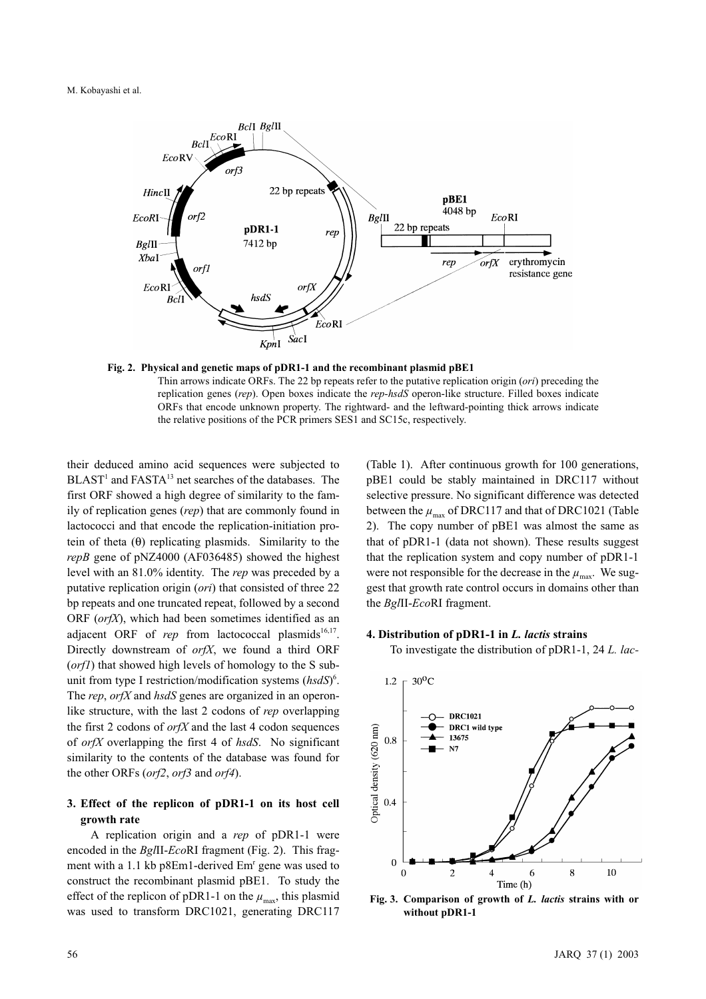#### M. Kobayashi et al.





their deduced amino acid sequences were subjected to BLAST<sup>1</sup> and FASTA<sup>13</sup> net searches of the databases. The first ORF showed a high degree of similarity to the family of replication genes (rep) that are commonly found in lactococci and that encode the replication-initiation protein of theta  $(\theta)$  replicating plasmids. Similarity to the repB gene of pNZ4000 (AF036485) showed the highest level with an 81.0% identity. The rep was preceded by a putative replication origin (ori) that consisted of three 22 bp repeats and one truncated repeat, followed by a second ORF  $(or f X)$ , which had been sometimes identified as an adjacent ORF of rep from lactococcal plasmids<sup>16,17</sup>. Directly downstream of *orfX*, we found a third ORF (*orf1*) that showed high levels of homology to the S subunit from type I restriction/modification systems  $(hsdS)^6$ . The rep, or fX and hsdS genes are organized in an operonlike structure, with the last 2 codons of rep overlapping the first 2 codons of  $or fX$  and the last 4 codon sequences of *orfX* overlapping the first 4 of  $hsdS$ . No significant similarity to the contents of the database was found for the other ORFs (orf2, orf3 and orf4).

### 3. Effect of the replicon of pDR1-1 on its host cell growth rate

A replication origin and a rep of pDR1-1 were encoded in the BglII-EcoRI fragment (Fig. 2). This fragment with a 1.1 kb p8Em1-derived Em<sup>r</sup> gene was used to construct the recombinant plasmid pBE1. To study the effect of the replicon of pDR1-1 on the  $\mu_{\text{max}}$ , this plasmid was used to transform DRC1021, generating DRC117

(Table 1). After continuous growth for 100 generations, pBE1 could be stably maintained in DRC117 without selective pressure. No significant difference was detected between the  $\mu_{\text{max}}$  of DRC117 and that of DRC1021 (Table 2). The copy number of pBE1 was almost the same as that of pDR1-1 (data not shown). These results suggest that the replication system and copy number of pDR1-1 were not responsible for the decrease in the  $\mu_{\text{max}}$ . We suggest that growth rate control occurs in domains other than the BglII-EcoRI fragment.

### 4. Distribution of pDR1-1 in L. lactis strains

To investigate the distribution of pDR1-1, 24 L. lac-



Fig. 3. Comparison of growth of L. lactis strains with or without pDR1-1